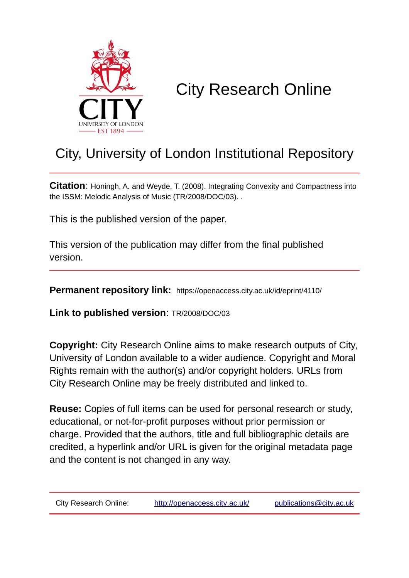

# City Research Online

# City, University of London Institutional Repository

**Citation**: Honingh, A. and Weyde, T. (2008). Integrating Convexity and Compactness into the ISSM: Melodic Analysis of Music (TR/2008/DOC/03). .

This is the published version of the paper.

This version of the publication may differ from the final published version.

**Permanent repository link:** https://openaccess.city.ac.uk/id/eprint/4110/

**Link to published version**: TR/2008/DOC/03

**Copyright:** City Research Online aims to make research outputs of City, University of London available to a wider audience. Copyright and Moral Rights remain with the author(s) and/or copyright holders. URLs from City Research Online may be freely distributed and linked to.

**Reuse:** Copies of full items can be used for personal research or study, educational, or not-for-profit purposes without prior permission or charge. Provided that the authors, title and full bibliographic details are credited, a hyperlink and/or URL is given for the original metadata page and the content is not changed in any way.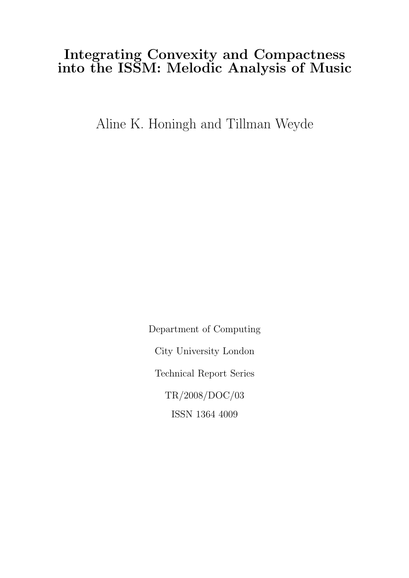# Integrating Convexity and Compactness into the ISSM: Melodic Analysis of Music

Aline K. Honingh and Tillman Weyde

Department of Computing City University London Technical Report Series TR/2008/DOC/03 ISSN 1364 4009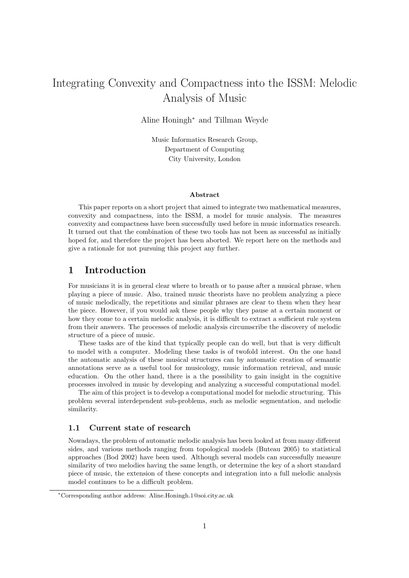# Integrating Convexity and Compactness into the ISSM: Melodic Analysis of Music

Aline Honingh<sup>∗</sup> and Tillman Weyde

Music Informatics Research Group, Department of Computing City University, London

#### Abstract

This paper reports on a short project that aimed to integrate two mathematical measures, convexity and compactness, into the ISSM, a model for music analysis. The measures convexity and compactness have been successfully used before in music informatics research. It turned out that the combination of these two tools has not been as successful as initially hoped for, and therefore the project has been aborted. We report here on the methods and give a rationale for not pursuing this project any further.

## 1 Introduction

For musicians it is in general clear where to breath or to pause after a musical phrase, when playing a piece of music. Also, trained music theorists have no problem analyzing a piece of music melodically, the repetitions and similar phrases are clear to them when they hear the piece. However, if you would ask these people why they pause at a certain moment or how they come to a certain melodic analysis, it is difficult to extract a sufficient rule system from their answers. The processes of melodic analysis circumscribe the discovery of melodic structure of a piece of music.

These tasks are of the kind that typically people can do well, but that is very difficult to model with a computer. Modeling these tasks is of twofold interest. On the one hand the automatic analysis of these musical structures can by automatic creation of semantic annotations serve as a useful tool for musicology, music information retrieval, and music education. On the other hand, there is a the possibility to gain insight in the cognitive processes involved in music by developing and analyzing a successful computational model.

The aim of this project is to develop a computational model for melodic structuring. This problem several interdependent sub-problems, such as melodic segmentation, and melodic similarity.

#### 1.1 Current state of research

Nowadays, the problem of automatic melodic analysis has been looked at from many different sides, and various methods ranging from topological models (Buteau 2005) to statistical approaches (Bod 2002) have been used. Although several models can successfully measure similarity of two melodies having the same length, or determine the key of a short standard piece of music, the extension of these concepts and integration into a full melodic analysis model continues to be a difficult problem.

<sup>∗</sup>Corresponding author address: Aline.Honingh.1@soi.city.ac.uk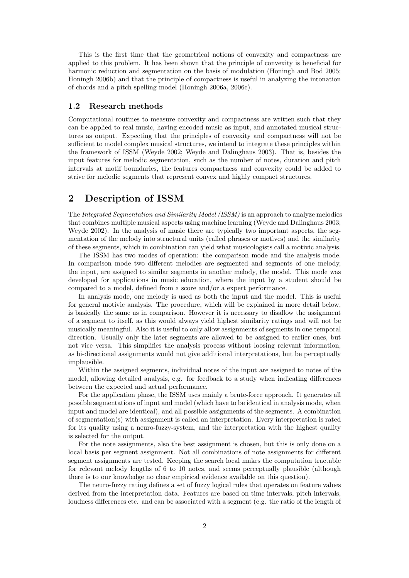This is the first time that the geometrical notions of convexity and compactness are applied to this problem. It has been shown that the principle of convexity is beneficial for harmonic reduction and segmentation on the basis of modulation (Honingh and Bod 2005; Honingh 2006b) and that the principle of compactness is useful in analyzing the intonation of chords and a pitch spelling model (Honingh 2006a, 2006c).

#### 1.2 Research methods

Computational routines to measure convexity and compactness are written such that they can be applied to real music, having encoded music as input, and annotated musical structures as output. Expecting that the principles of convexity and compactness will not be sufficient to model complex musical structures, we intend to integrate these principles within the framework of ISSM (Weyde 2002; Weyde and Dalinghaus 2003). That is, besides the input features for melodic segmentation, such as the number of notes, duration and pitch intervals at motif boundaries, the features compactness and convexity could be added to strive for melodic segments that represent convex and highly compact structures.

# 2 Description of ISSM

The Integrated Segmentation and Similarity Model (ISSM) is an approach to analyze melodies that combines multiple musical aspects using machine learning (Weyde and Dalinghaus 2003; Weyde 2002). In the analysis of music there are typically two important aspects, the segmentation of the melody into structural units (called phrases or motives) and the similarity of these segments, which in combination can yield what musicologists call a motivic analysis.

The ISSM has two modes of operation: the comparison mode and the analysis mode. In comparison mode two different melodies are segmented and segments of one melody, the input, are assigned to similar segments in another melody, the model. This mode was developed for applications in music education, where the input by a student should be compared to a model, defined from a score and/or a expert performance.

In analysis mode, one melody is used as both the input and the model. This is useful for general motivic analysis. The procedure, which will be explained in more detail below, is basically the same as in comparison. However it is necessary to disallow the assignment of a segment to itself, as this would always yield highest similarity ratings and will not be musically meaningful. Also it is useful to only allow assignments of segments in one temporal direction. Usually only the later segments are allowed to be assigned to earlier ones, but not vice versa. This simplifies the analysis process without loosing relevant information, as bi-directional assignments would not give additional interpretations, but be perceptually implausible.

Within the assigned segments, individual notes of the input are assigned to notes of the model, allowing detailed analysis, e.g. for feedback to a study when indicating differences between the expected and actual performance.

For the application phase, the ISSM uses mainly a brute-force approach. It generates all possible segmentations of input and model (which have to be identical in analysis mode, when input and model are identical), and all possible assignments of the segments. A combination of segmentation(s) with assignment is called an interpretation. Every interpretation is rated for its quality using a neuro-fuzzy-system, and the interpretation with the highest quality is selected for the output.

For the note assignments, also the best assignment is chosen, but this is only done on a local basis per segment assignment. Not all combinations of note assignments for different segment assignments are tested. Keeping the search local makes the computation tractable for relevant melody lengths of 6 to 10 notes, and seems perceptually plausible (although there is to our knowledge no clear empirical evidence available on this question).

The neuro-fuzzy rating defines a set of fuzzy logical rules that operates on feature values derived from the interpretation data. Features are based on time intervals, pitch intervals, loudness differences etc. and can be associated with a segment (e.g. the ratio of the length of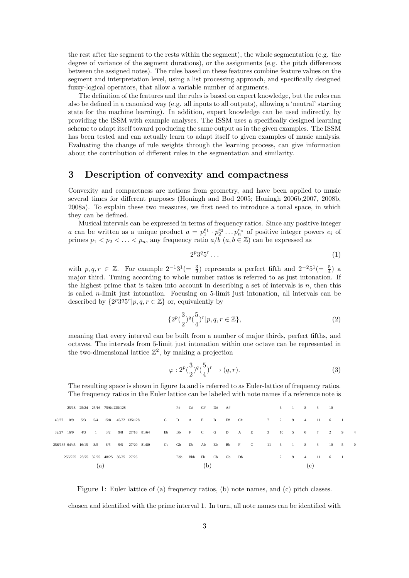the rest after the segment to the rests within the segment), the whole segmentation (e.g. the degree of variance of the segment durations), or the assignments (e.g. the pitch differences between the assigned notes). The rules based on these features combine feature values on the segment and interpretation level, using a list processing approach, and specifically designed fuzzy-logical operators, that allow a variable number of arguments.

The definition of the features and the rules is based on expert knowledge, but the rules can also be defined in a canonical way (e.g. all inputs to all outputs), allowing a 'neutral' starting state for the machine learning). In addition, expert knowledge can be used indirectly, by providing the ISSM with example analyses. The ISSM uses a specifically designed learning scheme to adapt itself toward producing the same output as in the given examples. The ISSM has been tested and can actually learn to adapt itself to given examples of music analysis. Evaluating the change of rule weights through the learning process, can give information about the contribution of different rules in the segmentation and similarity.

# 3 Description of convexity and compactness

Convexity and compactness are notions from geometry, and have been applied to music several times for different purposes (Honingh and Bod 2005; Honingh 2006b,2007, 2008b, 2008a). To explain these two measures, we first need to introduce a tonal space, in which they can be defined.

Musical intervals can be expressed in terms of frequency ratios. Since any positive integer a can be written as a unique product  $a = p_1^{e_1} \cdot p_2^{e_2} \dots p_n^{e_n}$  of positive integer powers  $e_i$  of primes  $p_1 < p_2 < \ldots < p_n$ , any frequency ratio  $a/b \ (a, b \in \mathbb{Z})$  can be expressed as

$$
2^p 3^q 5^r \dots \tag{1}
$$

with  $p,q,r \in \mathbb{Z}$ . For example  $2^{-1}3^1(=\frac{3}{2})$  represents a perfect fifth and  $2^{-2}5^1(=\frac{5}{4})$  a major third. Tuning according to whole number ratios is referred to as just intonation. If the highest prime that is taken into account in describing a set of intervals is  $n$ , then this is called n-limit just intonation. Focusing on 5-limit just intonation, all intervals can be described by  $\{2^p3^q5^r|p,q,r \in \mathbb{Z}\}\$  or, equivalently by

$$
\{2^p(\frac{3}{2})^q(\frac{5}{4})^r|p,q,r\in\mathbb{Z}\},\tag{2}
$$

meaning that every interval can be built from a number of major thirds, perfect fifths, and octaves. The intervals from 5-limit just intonation within one octave can be represented in the two-dimensional lattice  $\mathbb{Z}^2$ , by making a projection

$$
\varphi : 2^p(\frac{3}{2})^q(\frac{5}{4})^r \to (q, r). \tag{3}
$$

The resulting space is shown in figure 1a and is referred to as Euler-lattice of frequency ratios. The frequency ratios in the Euler lattice can be labeled with note names if a reference note is

|              |                                        |  |  | 25/18 25/24 25/16 75/64 225/128 |  |                                             |  |                | F#  |  | $C#$ $G#$ $D#$ |              | A# |    |                                         |  |             |                | 6 1 8 3 |           | - 10           |   |                |  |
|--------------|----------------------------------------|--|--|---------------------------------|--|---------------------------------------------|--|----------------|-----|--|----------------|--------------|----|----|-----------------------------------------|--|-------------|----------------|---------|-----------|----------------|---|----------------|--|
| $40/27$ 10/9 |                                        |  |  |                                 |  | 5/3 5/4 15/8 45/32 135/128                  |  | $G$ D A E B F# |     |  |                |              |    | C# |                                         |  | 7 2 9       |                | 4       | $11 \t 6$ | $\sim$ 1       |   |                |  |
| 32/27 16/9   |                                        |  |  |                                 |  | 4/3 1 3/2 9/8 27/16 81/64                   |  |                |     |  |                |              |    |    | Eb Bb F C G D A E 3 10 5 0              |  |             |                |         | 7 2       |                | 9 | $\overline{4}$ |  |
|              |                                        |  |  |                                 |  | 256/135 64/45 16/15 8/5 6/5 9/5 27/20 81/80 |  |                |     |  |                |              |    |    | Cb Gb Db Ab Eb Bb F C 11 6 1 8 3 10 5 0 |  |             |                |         |           |                |   |                |  |
|              | 256/225 128/75 32/25 48/25 36/25 27/25 |  |  |                                 |  |                                             |  |                | Ebb |  |                | Bbb Fb Cb Gb |    | Db |                                         |  | $2^{\circ}$ | $\overline{9}$ |         | 4 11 6    | $\blacksquare$ |   |                |  |
| (a)          |                                        |  |  |                                 |  |                                             |  |                | (b) |  |                |              |    |    |                                         |  | c           |                |         |           |                |   |                |  |

Figure 1: Euler lattice of (a) frequency ratios, (b) note names, and (c) pitch classes.

chosen and identified with the prime interval 1. In turn, all note names can be identified with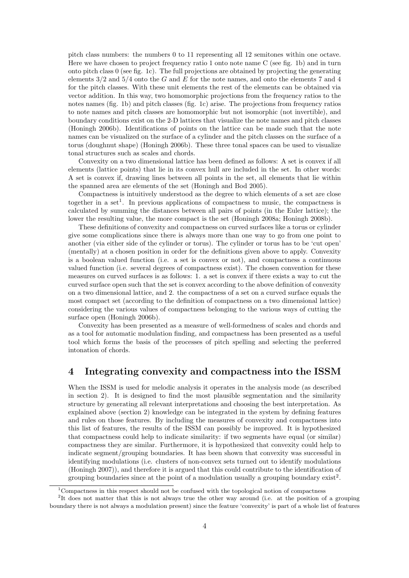pitch class numbers: the numbers 0 to 11 representing all 12 semitones within one octave. Here we have chosen to project frequency ratio 1 onto note name C (see fig. 1b) and in turn onto pitch class 0 (see fig. 1c). The full projections are obtained by projecting the generating elements  $3/2$  and  $5/4$  onto the G and E for the note names, and onto the elements 7 and 4 for the pitch classes. With these unit elements the rest of the elements can be obtained via vector addition. In this way, two homomorphic projections from the frequency ratios to the notes names (fig. 1b) and pitch classes (fig. 1c) arise. The projections from frequency ratios to note names and pitch classes are homomorphic but not isomorphic (not invertible), and boundary conditions exist on the 2-D lattices that visualize the note names and pitch classes (Honingh 2006b). Identifications of points on the lattice can be made such that the note names can be visualized on the surface of a cylinder and the pitch classes on the surface of a torus (doughnut shape) (Honingh 2006b). These three tonal spaces can be used to visualize tonal structures such as scales and chords.

Convexity on a two dimensional lattice has been defined as follows: A set is convex if all elements (lattice points) that lie in its convex hull are included in the set. In other words: A set is convex if, drawing lines between all points in the set, all elements that lie within the spanned area are elements of the set (Honingh and Bod 2005).

Compactness is intuitively understood as the degree to which elements of a set are close together in a set<sup>1</sup>. In previous applications of compactness to music, the compactness is calculated by summing the distances between all pairs of points (in the Euler lattice); the lower the resulting value, the more compact is the set (Honingh 2008a; Honingh 2008b).

These definitions of convexity and compactness on curved surfaces like a torus or cylinder give some complications since there is always more than one way to go from one point to another (via either side of the cylinder or torus). The cylinder or torus has to be 'cut open' (mentally) at a chosen position in order for the definitions given above to apply. Convexity is a boolean valued function (i.e. a set is convex or not), and compactness a continuous valued function (i.e. several degrees of compactness exist). The chosen convention for these measures on curved surfaces is as follows: 1. a set is convex if there exists a way to cut the curved surface open such that the set is convex according to the above definition of convexity on a two dimensional lattice, and 2. the compactness of a set on a curved surface equals the most compact set (according to the definition of compactness on a two dimensional lattice) considering the various values of compactness belonging to the various ways of cutting the surface open (Honingh 2006b).

Convexity has been presented as a measure of well-formedness of scales and chords and as a tool for automatic modulation finding, and compactness has been presented as a useful tool which forms the basis of the processes of pitch spelling and selecting the preferred intonation of chords.

# 4 Integrating convexity and compactness into the ISSM

When the ISSM is used for melodic analysis it operates in the analysis mode (as described in section 2). It is designed to find the most plausible segmentation and the similarity structure by generating all relevant interpretations and choosing the best interpretation. As explained above (section 2) knowledge can be integrated in the system by defining features and rules on those features. By including the measures of convexity and compactness into this list of features, the results of the ISSM can possibly be improved. It is hypothesized that compactness could help to indicate similarity: if two segments have equal (or similar) compactness they are similar. Furthermore, it is hypothesized that convexity could help to indicate segment/grouping boundaries. It has been shown that convexity was successful in identifying modulations (i.e. clusters of non-convex sets turned out to identify modulations (Honingh 2007)), and therefore it is argued that this could contribute to the identification of grouping boundaries since at the point of a modulation usually a grouping boundary exist<sup>2</sup>.

<sup>1</sup>Compactness in this respect should not be confused with the topological notion of compactness

<sup>&</sup>lt;sup>2</sup>It does not matter that this is not always true the other way around (i.e. at the position of a grouping boundary there is not always a modulation present) since the feature 'convexity' is part of a whole list of features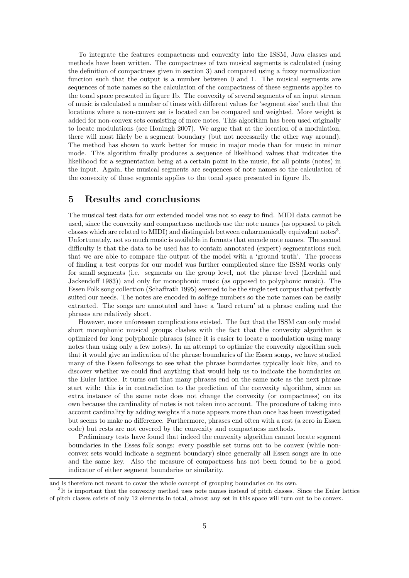To integrate the features compactness and convexity into the ISSM, Java classes and methods have been written. The compactness of two musical segments is calculated (using the definition of compactness given in section 3) and compared using a fuzzy normalization function such that the output is a number between 0 and 1. The musical segments are sequences of note names so the calculation of the compactness of these segments applies to the tonal space presented in figure 1b. The convexity of several segments of an input stream of music is calculated a number of times with different values for 'segment size' such that the locations where a non-convex set is located can be compared and weighted. More weight is added for non-convex sets consisting of more notes. This algorithm has been used originally to locate modulations (see Honingh 2007). We argue that at the location of a modulation, there will most likely be a segment boundary (but not necessarily the other way around). The method has shown to work better for music in major mode than for music in minor mode. This algorithm finally produces a sequence of likelihood values that indicates the likelihood for a segmentation being at a certain point in the music, for all points (notes) in the input. Again, the musical segments are sequences of note names so the calculation of the convexity of these segments applies to the tonal space presented in figure 1b.

### 5 Results and conclusions

The musical test data for our extended model was not so easy to find. MIDI data cannot be used, since the convexity and compactness methods use the note names (as opposed to pitch classes which are related to MIDI) and distinguish between enharmonically equivalent notes<sup>3</sup>. Unfortunately, not so much music is available in formats that encode note names. The second difficulty is that the data to be used has to contain annotated (expert) segmentations such that we are able to compare the output of the model with a 'ground truth'. The process of finding a test corpus for our model was further complicated since the ISSM works only for small segments (i.e. segments on the group level, not the phrase level (Lerdahl and Jackendoff 1983)) and only for monophonic music (as opposed to polyphonic music). The Essen Folk song collection (Schaffrath 1995) seemed to be the single test corpus that perfectly suited our needs. The notes are encoded in solfege numbers so the note names can be easily extracted. The songs are annotated and have a 'hard return' at a phrase ending and the phrases are relatively short.

However, more unforeseen complications existed. The fact that the ISSM can only model short monophonic musical groups clashes with the fact that the convexity algorithm is optimized for long polyphonic phrases (since it is easier to locate a modulation using many notes than using only a few notes). In an attempt to optimize the convexity algorithm such that it would give an indication of the phrase boundaries of the Essen songs, we have studied many of the Essen folksongs to see what the phrase boundaries typically look like, and to discover whether we could find anything that would help us to indicate the boundaries on the Euler lattice. It turns out that many phrases end on the same note as the next phrase start with: this is in contradiction to the prediction of the convexity algorithm, since an extra instance of the same note does not change the convexity (or compactness) on its own because the cardinality of notes is not taken into account. The procedure of taking into account cardinality by adding weights if a note appears more than once has been investigated but seems to make no difference. Furthermore, phrases end often with a rest (a zero in Essen code) but rests are not covered by the convexity and compactness methods.

Preliminary tests have found that indeed the convexity algorithm cannot locate segment boundaries in the Esses folk songs: every possible set turns out to be convex (while nonconvex sets would indicate a segment boundary) since generally all Essen songs are in one and the same key. Also the measure of compactness has not been found to be a good indicator of either segment boundaries or similarity.

and is therefore not meant to cover the whole concept of grouping boundaries on its own.

<sup>&</sup>lt;sup>3</sup>It is important that the convexity method uses note names instead of pitch classes. Since the Euler lattice of pitch classes exists of only 12 elements in total, almost any set in this space will turn out to be convex.